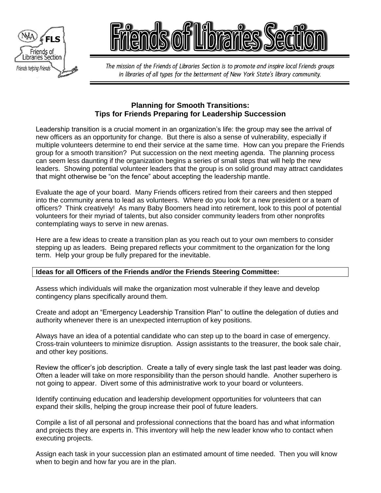



The mission of the Friends of Libraries Section is to promote and inspire local Friends groups in libraries of all types for the betterment of New York State's library community.

## **Planning for Smooth Transitions: Tips for Friends Preparing for Leadership Succession**

Leadership transition is a crucial moment in an organization's life: the group may see the arrival of new officers as an opportunity for change. But there is also a sense of vulnerability, especially if multiple volunteers determine to end their service at the same time. How can you prepare the Friends group for a smooth transition? Put succession on the next meeting agenda. The planning process can seem less daunting if the organization begins a series of small steps that will help the new leaders. Showing potential volunteer leaders that the group is on solid ground may attract candidates that might otherwise be "on the fence" about accepting the leadership mantle.

Evaluate the age of your board. Many Friends officers retired from their careers and then stepped into the community arena to lead as volunteers. Where do you look for a new president or a team of officers? Think creatively! As many Baby Boomers head into retirement, look to this pool of potential volunteers for their myriad of talents, but also consider community leaders from other nonprofits contemplating ways to serve in new arenas.

Here are a few ideas to create a transition plan as you reach out to your own members to consider stepping up as leaders. Being prepared reflects your commitment to the organization for the long term. Help your group be fully prepared for the inevitable.

## **Ideas for all Officers of the Friends and/or the Friends Steering Committee:**

Assess which individuals will make the organization most vulnerable if they leave and develop contingency plans specifically around them.

Create and adopt an "Emergency Leadership Transition Plan" to outline the delegation of duties and authority whenever there is an unexpected interruption of key positions.

Always have an idea of a potential candidate who can step up to the board in case of emergency. Cross-train volunteers to minimize disruption. Assign assistants to the treasurer, the book sale chair, and other key positions.

Review the officer's job description. Create a tally of every single task the last past leader was doing. Often a leader will take on more responsibility than the person should handle. Another superhero is not going to appear. Divert some of this administrative work to your board or volunteers.

Identify continuing education and leadership development opportunities for volunteers that can expand their skills, helping the group increase their pool of future leaders.

Compile a list of all personal and professional connections that the board has and what information and projects they are experts in. This inventory will help the new leader know who to contact when executing projects.

Assign each task in your succession plan an estimated amount of time needed. Then you will know when to begin and how far you are in the plan.